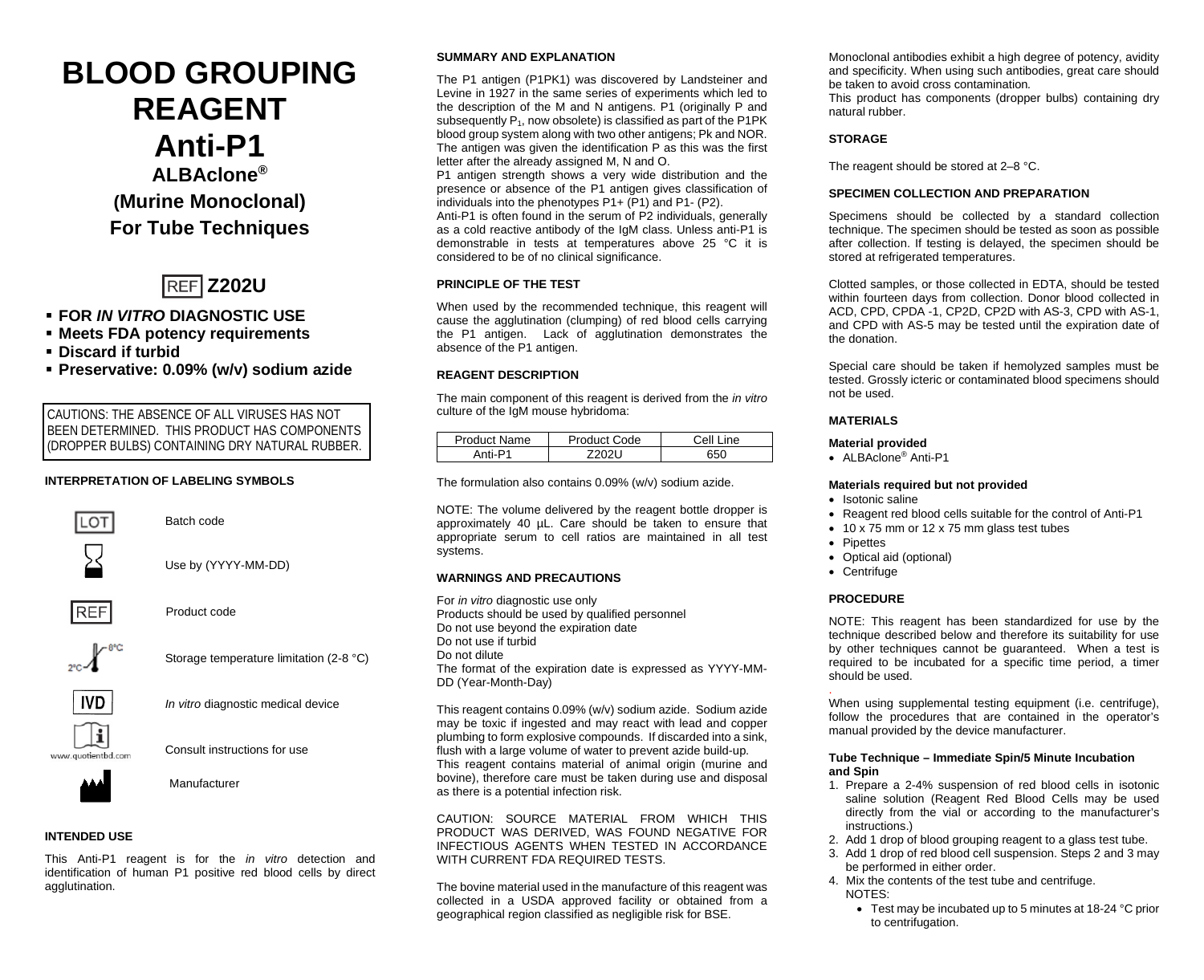# **BLOOD GROUPING REAGENT Anti-P1 ALBAclone® (Murine Monoclonal) For Tube Techniques**



# **FOR** *IN VITRO* **DIAGNOSTIC USE**

- **Meets FDA potency requirements**
- **Discard if turbid**
- **Preservative: 0.09% (w/v) sodium azide**

CAUTIONS: THE ABSENCE OF ALL VIRUSES HAS NOT BEEN DETERMINED. THIS PRODUCT HAS COMPONENTS (DROPPER BULBS) CONTAINING DRY NATURAL RUBBER.

# **INTERPRETATION OF LABELING SYMBOLS**



Batch code

Use by (YYYY-MM-DD)



Product code



Storage temperature limitation (2-8 °C)



www.quotientbd.com

*In vitro* diagnostic medical device



Manufacturer

#### **INTENDED USE**

This Anti-P1 reagent is for the *in vitro* detection and identification of human P1 positive red blood cells by direct agglutination.

## **SUMMARY AND EXPLANATION**

The P1 antigen (P1PK1) was discovered by Landsteiner and Levine in 1927 in the same series of experiments which led to the description of the M and N antigens. P1 (originally P and subsequently P<sub>1</sub>, now obsolete) is classified as part of the P1PK blood group system along with two other antigens; Pk and NOR. The antigen was given the identification P as this was the first letter after the already assigned M, N and O.

P1 antigen strength shows a very wide distribution and the presence or absence of the P1 antigen gives classification of individuals into the phenotypes P1+ (P1) and P1- (P2).

Anti-P1 is often found in the serum of P2 individuals, generally as a cold reactive antibody of the IgM class. Unless anti-P1 is demonstrable in tests at temperatures above 25 °C it is considered to be of no clinical significance.

# **PRINCIPLE OF THE TEST**

When used by the recommended technique, this reagent will cause the agglutination (clumping) of red blood cells carrying the P1 antigen. Lack of agglutination demonstrates the absence of the P1 antigen.

#### **REAGENT DESCRIPTION**

The main component of this reagent is derived from the *in vitro* culture of the IgM mouse hybridoma:

| Product Name | Product Code | Cell Line |  |
|--------------|--------------|-----------|--|
|              |              | 650       |  |

The formulation also contains 0.09% (w/v) sodium azide.

NOTE: The volume delivered by the reagent bottle dropper is approximately 40 µL. Care should be taken to ensure that appropriate serum to cell ratios are maintained in all test systems.

#### **WARNINGS AND PRECAUTIONS**

For *in vitro* diagnostic use only Products should be used by qualified personnel Do not use beyond the expiration date Do not use if turbid Do not dilute The format of the expiration date is expressed as YYYY-MM-DD (Year-Month-Day)

This reagent contains 0.09% (w/v) sodium azide. Sodium azide may be toxic if ingested and may react with lead and copper plumbing to form explosive compounds. If discarded into a sink, flush with a large volume of water to prevent azide build-up. This reagent contains material of animal origin (murine and bovine), therefore care must be taken during use and disposal as there is a potential infection risk.

CAUTION: SOURCE MATERIAL FROM WHICH THIS PRODUCT WAS DERIVED, WAS FOUND NEGATIVE FOR INFECTIOUS AGENTS WHEN TESTED IN ACCORDANCE WITH CURRENT FDA REQUIRED TESTS.

The bovine material used in the manufacture of this reagent was collected in a USDA approved facility or obtained from a geographical region classified as negligible risk for BSE.

Monoclonal antibodies exhibit a high degree of potency, avidity and specificity. When using such antibodies, great care should be taken to avoid cross contamination*.*

This product has components (dropper bulbs) containing dry natural rubber.

# **STORAGE**

The reagent should be stored at 2–8 °C.

# **SPECIMEN COLLECTION AND PREPARATION**

Specimens should be collected by a standard collection technique. The specimen should be tested as soon as possible after collection. If testing is delayed, the specimen should be stored at refrigerated temperatures.

Clotted samples, or those collected in EDTA, should be tested within fourteen days from collection. Donor blood collected in ACD, CPD, CPDA -1, CP2D, CP2D with AS-3, CPD with AS-1, and CPD with AS-5 may be tested until the expiration date of the donation.

Special care should be taken if hemolyzed samples must be tested. Grossly icteric or contaminated blood specimens should not be used.

#### **MATERIALS**

#### **Material provided**

• ALBAclone® Anti-P1

#### **Materials required but not provided**

- Isotonic saline
- Reagent red blood cells suitable for the control of Anti-P1
- 10 x 75 mm or 12 x 75 mm glass test tubes
- Pipettes
- Optical aid (optional)
- Centrifuge

#### **PROCEDURE**

NOTE: This reagent has been standardized for use by the technique described below and therefore its suitability for use by other techniques cannot be guaranteed. When a test is required to be incubated for a specific time period, a timer should be used.

. When using supplemental testing equipment (i.e. centrifuge), follow the procedures that are contained in the operator's manual provided by the device manufacturer.

#### **Tube Technique – Immediate Spin/5 Minute Incubation and Spin**

- 1. Prepare a 2-4% suspension of red blood cells in isotonic saline solution (Reagent Red Blood Cells may be used directly from the vial or according to the manufacturer's instructions.)
- 2. Add 1 drop of blood grouping reagent to a glass test tube.
- 3. Add 1 drop of red blood cell suspension. Steps 2 and 3 may be performed in either order.
- 4. Mix the contents of the test tube and centrifuge. NOTES:
	- Test may be incubated up to 5 minutes at 18-24 °C prior to centrifugation.